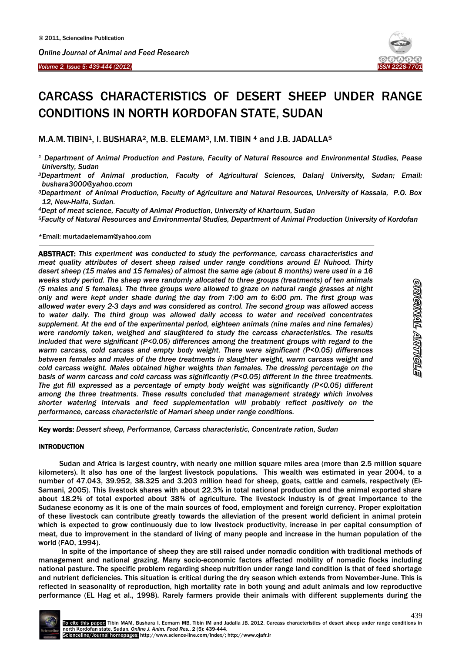



# CARCASS CHARACTERISTICS OF DESERT SHEEP UNDER RANGE CONDITIONS IN NORTH KORDOFAN STATE, SUDAN

M.A.M. TIBIN<sup>1</sup>, I. BUSHARA<sup>2</sup>, M.B. ELEMAM<sup>3</sup>, I.M. TIBIN  $4$  and J.B. JADALLA<sup>5</sup>

- *<sup>1</sup> Department of Animal Production and Pasture, Faculty of Natural Resource and Environmental Studies, Pease University, Sudan*
- *<sup>2</sup>Department of Animal production, Faculty of Agricultural Sciences, Dalanj University, Sudan; Email: bushara3000@yahoo.ccom*
- *<sup>3</sup>Department of Animal Production, Faculty of Agriculture and Natural Resources, University of Kassala, P.O. Box 12, New-Halfa, Sudan.*
- *<sup>4</sup>Dept of meat science, Faculty of Animal Production, University of Khartoum, Sudan*

*<sup>5</sup>Faculty of Natural Resources and Environmental Studies, Department of Animal Production University of Kordofan*

\*Email: murtadaelemam@yahoo.com

 $\overline{\phantom{a}}$ 

ABSTRACT: *This experiment was conducted to study the performance, carcass characteristics and meat quality attributes of desert sheep raised under range conditions around El Nuhood. Thirty desert sheep (15 males and 15 females) of almost the same age (about 8 months) were used in a 16 weeks study period. The sheep were randomly allocated to three groups (treatments) of ten animals (5 males and 5 females). The three groups were allowed to graze on natural range grasses at night only and were kept under shade during the day from 7:00 am to 6:00 pm. The first group was allowed water every 2-3 days and was considered as control. The second group was allowed access to water daily. The third group was allowed daily access to water and received concentrates supplement. At the end of the experimental period, eighteen animals (nine males and nine females) were randomly taken, weighed and slaughtered to study the carcass characteristics. The results included that were significant (P<0.05) differences among the treatment groups with regard to the warm carcass, cold carcass and empty body weight. There were significant (P<0.05) differences between females and males of the three treatments in slaughter weight, warm carcass weight and cold carcass weight. Males obtained higher weights than females. The dressing percentage on the basis of warm carcass and cold carcass was significantly (P<0.05) different in the three treatments. The gut fill expressed as a percentage of empty body weight was significantly (P<0.05) different among the three treatments. These results concluded that management strategy which involves shorter watering intervals and feed supplementation will probably reflect positively on the performance, carcass characteristic of Hamari sheep under range conditions.*

Key words: *Dessert sheep, Performance, Carcass characteristic, Concentrate ration, Sudan*

## **INTRODUCTION**

 $\overline{a}$ 

Sudan and Africa is largest country, with nearly one million square miles area (more than 2.5 million square kilometers). It also has one of the largest livestock populations. This wealth was estimated in year 2004, to a number of 47.043, 39.952, 38.325 and 3.203 million head for sheep, goats, cattle and camels, respectively (El-Samani, 2005). This livestock shares with about 22.3% in total national production and the animal exported share about 18.2% of total exported about 38% of agriculture. The livestock industry is of great importance to the Sudanese economy as it is one of the main sources of food, employment and foreign currency. Proper exploitation of these livestock can contribute greatly towards the alleviation of the present world deficient in animal protein which is expected to grow continuously due to low livestock productivity, increase in per capital consumption of meat, due to improvement in the standard of living of many people and increase in the human population of the world (FAO, 1994).

In spite of the importance of sheep they are still raised under nomadic condition with traditional methods of management and national grazing. Many socio-economic factors affected mobility of nomadic flocks including national pasture. The specific problem regarding sheep nutrition under range land condition is that of feed shortage and nutrient deficiencies. This situation is critical during the dry season which extends from November-June. This is reflected in seasonality of reproduction, high mortality rate in both young and adult animals and low reproductive performance (EL Hag et al., 1998). Rarely farmers provide their animals with different supplements during the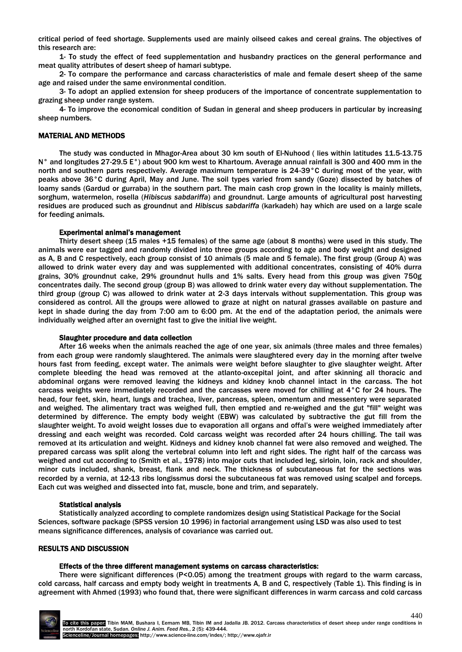critical period of feed shortage. Supplements used are mainly oilseed cakes and cereal grains. The objectives of this research are:

1- To study the effect of feed supplementation and husbandry practices on the general performance and meat quality attributes of desert sheep of hamari subtype.

2- To compare the performance and carcass characteristics of male and female desert sheep of the same age and raised under the same environmental condition.

3- To adopt an applied extension for sheep producers of the importance of concentrate supplementation to grazing sheep under range system.

4- To improve the economical condition of Sudan in general and sheep producers in particular by increasing sheep numbers.

## MATERIAL AND METHODS

The study was conducted in Mhagor-Area about 30 km south of El-Nuhood ( lies within latitudes 11.5-13.75 N° and longitudes 27-29.5 E°) about 900 km west to Khartoum. Average annual rainfall is 300 and 400 mm in the north and southern parts respectively. Average maximum temperature is 24-39°C during most of the year, with peaks above 36°C during April, May and June. The soil types varied from sandy (Goze) dissected by batches of loamy sands (Gardud or gurraba) in the southern part. The main cash crop grown in the locality is mainly millets, sorghum, watermelon, rosella (*Hibiscus sabdariffa*) and groundnut. Large amounts of agricultural post harvesting residues are produced such as groundnut and *Hibiscus sabdariffa* (karkadeh) hay which are used on a large scale for feeding animals.

## Experimental animal's management

Thirty desert sheep (15 males +15 females) of the same age (about 8 months) were used in this study. The animals were ear tagged and randomly divided into three groups according to age and body weight and designed as A, B and C respectively, each group consist of 10 animals (5 male and 5 female). The first group (Group A) was allowed to drink water every day and was supplemented with additional concentrates, consisting of 40% durra grains, 30% groundnut cake, 29% groundnut hulls and 1% salts. Every head from this group was given 750g concentrates daily. The second group (group B) was allowed to drink water every day without supplementation. The third group (group C) was allowed to drink water at 2-3 days intervals without supplementation. This group was considered as control. All the groups were allowed to graze at night on natural grasses available on pasture and kept in shade during the day from 7:00 am to 6:00 pm. At the end of the adaptation period, the animals were individually weighed after an overnight fast to give the initial live weight.

## Slaughter procedure and data collection

After 16 weeks when the animals reached the age of one year, six animals (three males and three females) from each group were randomly slaughtered. The animals were slaughtered every day in the morning after twelve hours fast from feeding, except water. The animals were weight before slaughter to give slaughter weight. After complete bleeding the head was removed at the atlanto-oxcepital joint, and after skinning all thoracic and abdominal organs were removed leaving the kidneys and kidney knob channel intact in the carcass. The hot carcass weights were immediately recorded and the carcasses were moved for chilling at 4°C for 24 hours. The head, four feet, skin, heart, lungs and trachea, liver, pancreas, spleen, omentum and messentery were separated and weighed. The alimentary tract was weighed full, then emptied and re-weighed and the gut "fill" weight was determined by difference. The empty body weight (EBW) was calculated by subtractive the gut fill from the slaughter weight. To avoid weight losses due to evaporation all organs and offal's were weighed immediately after dressing and each weight was recorded. Cold carcass weight was recorded after 24 hours chilling. The tail was removed at its articulation and weight. Kidneys and kidney knob channel fat were also removed and weighed. The prepared carcass was split along the vertebral column into left and right sides. The right half of the carcass was weighed and cut according to (Smith et al., 1978) into major cuts that included leg, sirloin, loin, rack and shoulder, minor cuts included, shank, breast, flank and neck. The thickness of subcutaneous fat for the sections was recorded by a vernia, at 12-13 ribs longissmus dorsi the subcutaneous fat was removed using scalpel and forceps. Each cut was weighed and dissected into fat, muscle, bone and trim, and separately.

# Statistical analysis

Statistically analyzed according to complete randomizes design using Statistical Package for the Social Sciences, software package (SPSS version 10 1996) in factorial arrangement using LSD was also used to test means significance differences, analysis of covariance was carried out.

# RESULTS AND DISCUSSION

## Effects of the three different management systems on carcass characteristics:

There were significant differences (P<0.05) among the treatment groups with regard to the warm carcass, cold carcass, half carcass and empty body weight in treatments A, B and C, respectively (Table 1). This finding is in agreement with Ahmed (1993) who found that, there were significant differences in warm carcass and cold carcass

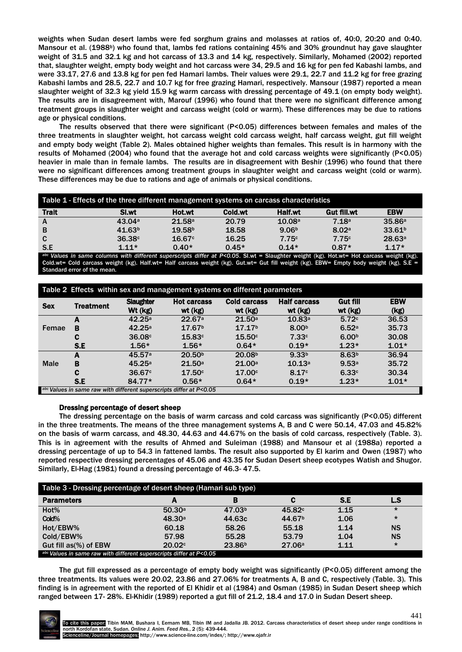weights when Sudan desert lambs were fed sorghum grains and molasses at ratios of, 40:0, 20:20 and 0:40. Mansour et al. (1988<sup>b</sup>) who found that, lambs fed rations containing 45% and 30% groundnut hay gave slaughter weight of 31.5 and 32.1 kg and hot carcass of 13.3 and 14 kg, respectively. Similarly, Mohamed (2002) reported that, slaughter weight, empty body weight and hot carcass were 34, 29.5 and 16 kg for pen fed Kabashi lambs, and were 33.17, 27.6 and 13.8 kg for pen fed Hamari lambs. Their values were 29.1, 22.7 and 11.2 kg for free grazing Kabashi lambs and 28.5, 22.7 and 10.7 kg for free grazing Hamari, respectively. Mansour (1987) reported a mean slaughter weight of 32.3 kg yield 15.9 kg warm carcass with dressing percentage of 49.1 (on empty body weight). The results are in disagreement with, Marouf (1996) who found that there were no significant difference among treatment groups in slaughter weight and carcass weight (cold or warm). These differences may be due to rations age or physical conditions.

The results observed that there were significant (P<0.05) differences between females and males of the three treatments in slaughter weight, hot carcass weight cold carcass weight, half carcass weight, gut fill weight and empty body weight (Table 2). Males obtained higher weights than females. This result is in harmony with the results of Mohamed (2004) who found that the average hot and cold carcass weights were significantly (P<0.05) heavier in male than in female lambs. The results are in disagreement with Beshir (1996) who found that there were no significant differences among treatment groups in slaughter weight and carcass weight (cold or warm). These differences may be due to rations and age of animals or physical conditions.

| Table 1 - Effects of the three different management systems on carcass characteristics |                    |                    |         |                   |             |                    |  |
|----------------------------------------------------------------------------------------|--------------------|--------------------|---------|-------------------|-------------|--------------------|--|
| <b>Trait</b>                                                                           | Sl.wt              | Hot.wt             | Cold.wt | Half wt           | Gut fill.wt | <b>EBW</b>         |  |
| A                                                                                      | 43.04a             | 21.58a             | 20.79   | 10.08a            | 7.18a       | 35.86a             |  |
| B                                                                                      | 41.63 <sup>b</sup> | 19.58 <sup>b</sup> | 18.58   | 9.06 <sup>b</sup> | 8.02a       | 33.61 <sup>b</sup> |  |
| C                                                                                      | 36.38 <sup>c</sup> | 16.67c             | 16.25   | 7.75c             | 7.75c       | 28.63a             |  |
| S.E                                                                                    | $1.11*$            | $0.40*$            | $0.45*$ | $0.14*$           | $0.87*$     | $1.17*$            |  |

*abc Values in same columns with different superscripts differ at P<0.05*. SI.wt = Slaughter weight (kg). Hot.wt= Hot carcass weight (kg). Cold.wt= Cold carcass weight (kg). Half.wt= Half carcass weight (kg). Gut.wt= Gut fill weight (kg). EBW= Empty body weight (kg). S.E Standard error of the mean.

| Table 2 Effects within sex and management systems on different parameters |                  |                             |                               |                                |                                |                            |                    |
|---------------------------------------------------------------------------|------------------|-----------------------------|-------------------------------|--------------------------------|--------------------------------|----------------------------|--------------------|
| <b>Sex</b>                                                                | <b>Treatment</b> | <b>Slaughter</b><br>Wt (kg) | <b>Hot carcass</b><br>wt (kg) | <b>Cold carcass</b><br>wt (kg) | <b>Half carcass</b><br>wt (kg) | <b>Gut fill</b><br>wt (kg) | <b>EBW</b><br>(kg) |
|                                                                           | A                | 42.25a                      | 22.67a                        | 21.50a                         | 10.83a                         | 5.72c                      | 36.53              |
| Femae                                                                     | в                | 42.25a                      | 17.67 <sup>b</sup>            | 17.17 <sup>b</sup>             | 8.00 <sup>b</sup>              | 6.52a                      | 35.73              |
|                                                                           | с                | 36.08c                      | 15.83c                        | 15.50c                         | 7.33c                          | 6.00 <sup>b</sup>          | 30.08              |
|                                                                           | S.E              | $1.56*$                     | $1.56*$                       | $0.64*$                        | $0.19*$                        | $1.23*$                    | $1.01*$            |
|                                                                           | A                | 45.57a                      | 20.50 <sup>b</sup>            | 20.08 <sup>b</sup>             | 9.33 <sup>b</sup>              | 8.63 <sup>b</sup>          | 36.94              |
| <b>Male</b>                                                               | в                | 45.25a                      | 21.50a                        | 21.00a                         | 10.13a                         | 9.53a                      | 35.72              |
|                                                                           | C                | 36.67c                      | 17.50 <sup>c</sup>            | 17.00 <sup>c</sup>             | 8.17c                          | 6.33c                      | 30.34              |
|                                                                           | S.E              | 84.77*                      | $0.56*$                       | $0.64*$                        | $0.19*$                        | $1.23*$                    | $1.01*$            |
| abc Values in same raw with different superscripts differ at P<0.05       |                  |                             |                               |                                |                                |                            |                    |

## Dressing percentage of desert sheep

The dressing percentage on the basis of warm carcass and cold carcass was significantly (P<0.05) different in the three treatments. The means of the three management systems A, B and C were 50.14, 47.03 and 45.82% on the basis of warm carcass, and 48.30, 44.63 and 44.67% on the basis of cold carcass, respectively (Table. 3). This is in agreement with the results of Ahmed and Suleiman (1988) and Mansour et al (1988a) reported a dressing percentage of up to 54.3 in fattened lambs. The result also supported by El karim and Owen (1987) who reported respective dressing percentages of 45.06 and 43.35 for Sudan Desert sheep ecotypes Watish and Shugor. Similarly, El-Hag (1981) found a dressing percentage of 46.3- 47.5.

| Table 3 - Dressing percentage of desert sheep (Hamari sub type)     |        |                    |                    |      |           |  |  |
|---------------------------------------------------------------------|--------|--------------------|--------------------|------|-----------|--|--|
| <b>Parameters</b>                                                   | А      | B                  | с                  | S.E  | L.S       |  |  |
| Hot%                                                                | 50.30a | 47.03 <sup>b</sup> | 45.82c             | 1.15 | $\star$   |  |  |
| Cold%                                                               | 48.30a | 44.63c             | 44.67 <sup>b</sup> | 1.06 | $\star$   |  |  |
| Hot/EBW%                                                            | 60.18  | 58.26              | 55.18              | 1.14 | <b>NS</b> |  |  |
| Cold/EBW%                                                           | 57.98  | 55.28              | 53.79              | 1.04 | <b>NS</b> |  |  |
| Gut fill as(%) of EBW                                               | 20.02c | 23.86 <sup>b</sup> | 27.06a             | 1.11 | $\star$   |  |  |
| abc Values in same raw with different superscripts differ at P<0.05 |        |                    |                    |      |           |  |  |

The gut fill expressed as a percentage of empty body weight was significantly (P<0.05) different among the three treatments. Its values were 20.02, 23.86 and 27.06% for treatments A, B and C, respectively (Table. 3). This finding is in agreement with the reported of El Khidir et al (1984) and Osman (1985) in Sudan Desert sheep which ranged between 17- 28%. El-Khidir (1989) reported a gut fill of 21.2, 18.4 and 17.0 in Sudan Desert sheep.

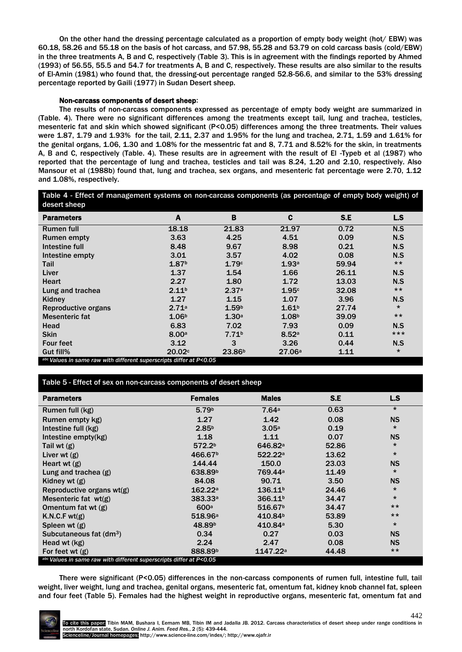On the other hand the dressing percentage calculated as a proportion of empty body weight (hot/ EBW) was 60.18, 58.26 and 55.18 on the basis of hot carcass, and 57.98, 55.28 and 53.79 on cold carcass basis (cold/EBW) in the three treatments A, B and C, respectively (Table 3). This is in agreement with the findings reported by Ahmed (1993) of 56.55, 55.5 and 54.7 for treatments A, B and C, respectively. These results are also similar to the results of El-Amin (1981) who found that, the dressing-out percentage ranged 52.8-56.6, and similar to the 53% dressing percentage reported by Gaili (1977) in Sudan Desert sheep.

## Non-carcass components of desert sheep:

The results of non-carcass components expressed as percentage of empty body weight are summarized in (Table. 4). There were no significant differences among the treatments except tail, lung and trachea, testicles, mesenteric fat and skin which showed significant (P<0.05) differences among the three treatments. Their values were 1.87, 1.79 and 1.93% for the tail, 2.11, 2.37 and 1.95% for the lung and trachea, 2.71, 1.59 and 1.61% for the genital organs, 1.06, 1.30 and 1.08% for the messentric fat and 8, 7.71 and 8.52% for the skin, in treatments A, B and C, respectively (Table. 4). These results are in agreement with the result of El -Typeb et al (1987) who reported that the percentage of lung and trachea, testicles and tail was 8.24, 1.20 and 2.10, respectively. Also Mansour et al (1988b) found that, lung and trachea, sex organs, and mesenteric fat percentage were 2.70, 1.12 and 1.08%, respectively.

Table 4 - Effect of management systems on non-carcass components (as percentage of empty body weight) of desert sheep

| <b>Parameters</b>                                                   | A                 | B                  | C                 | S.E   | L.S     |  |  |  |
|---------------------------------------------------------------------|-------------------|--------------------|-------------------|-------|---------|--|--|--|
| <b>Rumen full</b>                                                   | 18.18             | 21.83              | 21.97             | 0.72  | N.S     |  |  |  |
| <b>Rumen empty</b>                                                  | 3.63              | 4.25               | 4.51              | 0.09  | N.S     |  |  |  |
| Intestine full                                                      | 8.48              | 9.67               | 8.98              | 0.21  | N.S     |  |  |  |
| Intestine empty                                                     | 3.01              | 3.57               | 4.02              | 0.08  | N.S     |  |  |  |
| Tail                                                                | 1.87 <sup>b</sup> | 1.79c              | 1.93a             | 59.94 | $***$   |  |  |  |
| Liver                                                               | 1.37              | 1.54               | 1.66              | 26.11 | N.S     |  |  |  |
| <b>Heart</b>                                                        | 2.27              | 1.80               | 1.72              | 13.03 | N.S     |  |  |  |
| Lung and trachea                                                    | 2.11 <sup>b</sup> | 2.37a              | 1.95c             | 32.08 | $***$   |  |  |  |
| Kidney                                                              | 1.27              | 1.15               | 1.07              | 3.96  | N.S     |  |  |  |
| Reproductive organs                                                 | 2.71a             | 1.59 <sup>b</sup>  | 1.61 <sup>b</sup> | 27.74 | $\star$ |  |  |  |
| Mesenteric fat                                                      | 1.06 <sup>b</sup> | 1.30a              | 1.08 <sup>b</sup> | 39.09 | $***$   |  |  |  |
| Head                                                                | 6.83              | 7.02               | 7.93              | 0.09  | N.S     |  |  |  |
| <b>Skin</b>                                                         | 8.00a             | 7.71 <sup>b</sup>  | 8.52a             | 0.11  | $***$   |  |  |  |
| <b>Four feet</b>                                                    | 3.12              | 3                  | 3.26              | 0.44  | N.S     |  |  |  |
| Gut fill%                                                           | 20.02c            | 23.86 <sup>b</sup> | 27.06a            | 1.11  | $\star$ |  |  |  |
| abc Values in same raw with different superscripts differ at P<0.05 |                   |                    |                   |       |         |  |  |  |

# Table 5 - Effect of sex on non-carcass components of desert sheep

| <b>Parameters</b>                                                   | <b>Females</b>      | <b>Males</b>         | S.E   | L.S       |  |  |  |  |
|---------------------------------------------------------------------|---------------------|----------------------|-------|-----------|--|--|--|--|
| Rumen full (kg)                                                     | 5.79 <sup>b</sup>   | 7.64a                | 0.63  | $\star$   |  |  |  |  |
| Rumen empty kg)                                                     | 1.27                | 1.42                 | 0.08  | <b>NS</b> |  |  |  |  |
| Intestine full (kg)                                                 | 2.85 <sup>b</sup>   | 3.05a                | 0.19  | $\star$   |  |  |  |  |
| Intestine empty(kg)                                                 | 1.18                | 1.11                 | 0.07  | <b>NS</b> |  |  |  |  |
| Tail wt $(g)$                                                       | 572.2 <sup>b</sup>  | 646.82 <sup>a</sup>  | 52.86 | $\star$   |  |  |  |  |
| Liver wt $(g)$                                                      | 466.67 <sup>b</sup> | 522.22a              | 13.62 | $\star$   |  |  |  |  |
| Heart wt $(g)$                                                      | 144.44              | 150.0                | 23.03 | <b>NS</b> |  |  |  |  |
| Lung and trachea (g)                                                | 638.89 <sup>b</sup> | 769.44 <sup>a</sup>  | 11.49 | $^\star$  |  |  |  |  |
| Kidney wt $(g)$                                                     | 84.08               | 90.71                | 3.50  | <b>NS</b> |  |  |  |  |
| Reproductive organs wt(g)                                           | 162.22a             | 136.11 <sup>b</sup>  | 24.46 | $\star$   |  |  |  |  |
| Mesenteric fat $wt(g)$                                              | 383.33a             | 366.11 <sup>b</sup>  | 34.47 | $\star$   |  |  |  |  |
| Omentum fat wt $(g)$                                                | 600a                | 516.67 <sup>b</sup>  | 34.47 | $***$     |  |  |  |  |
| K.N.C.F wt(g)                                                       | 518.96a             | 410.84 <sup>b</sup>  | 53.89 | $***$     |  |  |  |  |
| Spleen wt $(g)$                                                     | 48.89 <sup>b</sup>  | 410.84 <sup>a</sup>  | 5.30  | $\star$   |  |  |  |  |
| Subcutaneous fat (dm <sup>3</sup> )                                 | 0.34                | 0.27                 | 0.03  | <b>NS</b> |  |  |  |  |
| Head wt (kg)                                                        | 2.24                | 2.47                 | 0.08  | <b>NS</b> |  |  |  |  |
| For feet wt $(g)$                                                   | 888.89 <sup>b</sup> | 1147.22 <sup>a</sup> | 44.48 | $***$     |  |  |  |  |
| abc Values in same raw with different superscripts differ at P<0.05 |                     |                      |       |           |  |  |  |  |

There were significant (P<0.05) differences in the non-carcass components of rumen full, intestine full, tail weight, liver weight, lung and trachea, genital organs, mesenteric fat, omentum fat, kidney knob channel fat, spleen and four feet (Table 5). Females had the highest weight in reproductive organs, mesenteric fat, omentum fat and

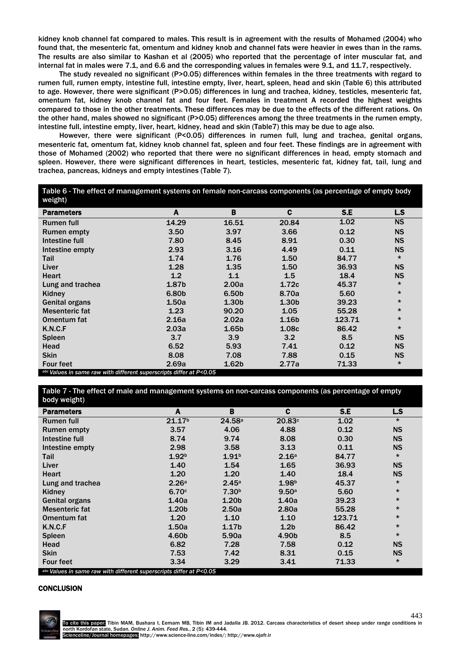kidney knob channel fat compared to males. This result is in agreement with the results of Mohamed (2004) who found that, the mesenteric fat, omentum and kidney knob and channel fats were heavier in ewes than in the rams. The results are also similar to Kashan et al (2005) who reported that the percentage of inter muscular fat, and internal fat in males were 7.1, and 6.6 and the corresponding values in females were 9.1, and 11.7, respectively.

The study revealed no significant (P>0.05) differences within females in the three treatments with regard to rumen full, rumen empty, intestine full, intestine empty, liver, heart, spleen, head and skin (Table 6) this attributed to age. However, there were significant (P>0.05) differences in lung and trachea, kidney, testicles, mesenteric fat, omentum fat, kidney knob channel fat and four feet. Females in treatment A recorded the highest weights compared to those in the other treatments. These differences may be due to the effects of the different rations. On the other hand, males showed no significant (P>0.05) differences among the three treatments in the rumen empty, intestine full, intestine empty, liver, heart, kidney, head and skin (Table7) this may be due to age also.

However, there were significant (P<0.05) differences in rumen full, lung and trachea, genital organs, mesenteric fat, omentum fat, kidney knob channel fat, spleen and four feet. These findings are in agreement with those of Mohamed (2002) who reported that there were no significant differences in head, empty stomach and spleen. However, there were significant differences in heart, testicles, mesenteric fat, kidney fat, tail, lung and trachea, pancreas, kidneys and empty intestines (Table 7).

| Table 6 - The effect of management systems on female non-carcass components (as percentage of empty body<br>weight) |       |                   |                   |        |           |  |  |
|---------------------------------------------------------------------------------------------------------------------|-------|-------------------|-------------------|--------|-----------|--|--|
| <b>Parameters</b>                                                                                                   | A     | B                 | C                 | S.E    | L.S       |  |  |
| <b>Rumen full</b>                                                                                                   | 14.29 | 16.51             | 20.84             | 1.02   | <b>NS</b> |  |  |
| <b>Rumen empty</b>                                                                                                  | 3.50  | 3.97              | 3.66              | 0.12   | <b>NS</b> |  |  |
| Intestine full                                                                                                      | 7.80  | 8.45              | 8.91              | 0.30   | <b>NS</b> |  |  |
| Intestine empty                                                                                                     | 2.93  | 3.16              | 4.49              | 0.11   | <b>NS</b> |  |  |
| Tail                                                                                                                | 1.74  | 1.76              | 1.50              | 84.77  | $\star$   |  |  |
| Liver                                                                                                               | 1.28  | 1.35              | 1.50              | 36.93  | <b>NS</b> |  |  |
| <b>Heart</b>                                                                                                        | 1.2   | 1.1               | 1.5               | 18.4   | <b>NS</b> |  |  |
| Lung and trachea                                                                                                    | 1.87b | 2.00a             | 1.72c             | 45.37  | $\star$   |  |  |
| Kidney                                                                                                              | 6.80b | 6.50 <sub>b</sub> | 8.70a             | 5.60   | $\star$   |  |  |
| <b>Genital organs</b>                                                                                               | 1.50a | 1.30 <sub>b</sub> | 1.30 <sub>b</sub> | 39.23  | $\star$   |  |  |
| Mesenteric fat                                                                                                      | 1.23  | 90.20             | 1.05              | 55.28  | $\star$   |  |  |
| Omentum fat                                                                                                         | 2.16a | 2.02a             | 1.16 <sub>b</sub> | 123.71 | $\star$   |  |  |
| K.N.C.F                                                                                                             | 2.03a | 1.65 <sub>b</sub> | 1.08c             | 86.42  | $\star$   |  |  |
| <b>Spleen</b>                                                                                                       | 3.7   | 3.9               | 3.2               | 8.5    | <b>NS</b> |  |  |
| Head                                                                                                                | 6.52  | 5.93              | 7.41              | 0.12   | <b>NS</b> |  |  |
| <b>Skin</b>                                                                                                         | 8.08  | 7.08              | 7.88              | 0.15   | <b>NS</b> |  |  |
| <b>Four feet</b>                                                                                                    | 2.69a | 1.62 <sub>b</sub> | 2.77a             | 71.33  | $\star$   |  |  |
| abc Values in same raw with different superscripts differ at P<0.05                                                 |       |                   |                   |        |           |  |  |

Table 7 - The effect of male and management systems on non-carcass components (as percentage of empty body weight)

| $000y$ weight                                            |                                                    |                   |                   |        |           |
|----------------------------------------------------------|----------------------------------------------------|-------------------|-------------------|--------|-----------|
| <b>Parameters</b>                                        | A                                                  | B                 | C                 | S.E    | L.S       |
| <b>Rumen full</b>                                        | 21.17 <sup>b</sup>                                 | 24.58a            | 20.83c            | 1.02   | $\star$   |
| Rumen empty                                              | 3.57                                               | 4.06              | 4.88              | 0.12   | <b>NS</b> |
| Intestine full                                           | 8.74                                               | 9.74              | 8.08              | 0.30   | <b>NS</b> |
| Intestine empty                                          | 2.98                                               | 3.58              | 3.13              | 0.11   | <b>NS</b> |
| Tail                                                     | 1.92 <sup>b</sup>                                  | 1.91 <sup>b</sup> | 2.16a             | 84.77  | $\star$   |
| Liver                                                    | 1.40                                               | 1.54              | 1.65              | 36.93  | <b>NS</b> |
| <b>Heart</b>                                             | 1.20                                               | 1.20              | 1.40              | 18.4   | <b>NS</b> |
| Lung and trachea                                         | 2.26a                                              | 2.45a             | 1.98 <sup>b</sup> | 45.37  | $\star$   |
| Kidney                                                   | 6.70c                                              | 7.30 <sup>b</sup> | 9.50a             | 5.60   | $\star$   |
| <b>Genital organs</b>                                    | 1.40a                                              | 1.20 <sub>b</sub> | 1.40a             | 39.23  | $\star$   |
| Mesenteric fat                                           | 1.20 <sub>b</sub>                                  | 2.50a             | 2.80a             | 55.28  | $^\star$  |
| <b>Omentum fat</b>                                       | 1.20                                               | 1.10              | 1.10              | 123.71 | $\star$   |
| K.N.C.F                                                  | 1.50a                                              | 1.17 <sub>b</sub> | 1.2 <sub>b</sub>  | 86.42  | $\star$   |
| Spleen                                                   | 4.60b                                              | 5.90a             | 4.90b             | 8.5    | $\star$   |
| Head                                                     | 6.82                                               | 7.28              | 7.58              | 0.12   | <b>NS</b> |
| <b>Skin</b>                                              | 7.53                                               | 7.42              | 8.31              | 0.15   | <b>NS</b> |
| <b>Four feet</b><br>$\cdots$<br>$\overline{\phantom{a}}$ | 3.34<br>$\overline{1}$<br>$\overline{\phantom{a}}$ | 3.29              | 3.41              | 71.33  | $\star$   |

*/alues in same raw with different superscripts differ at I* 

#### **CONCLUSION**